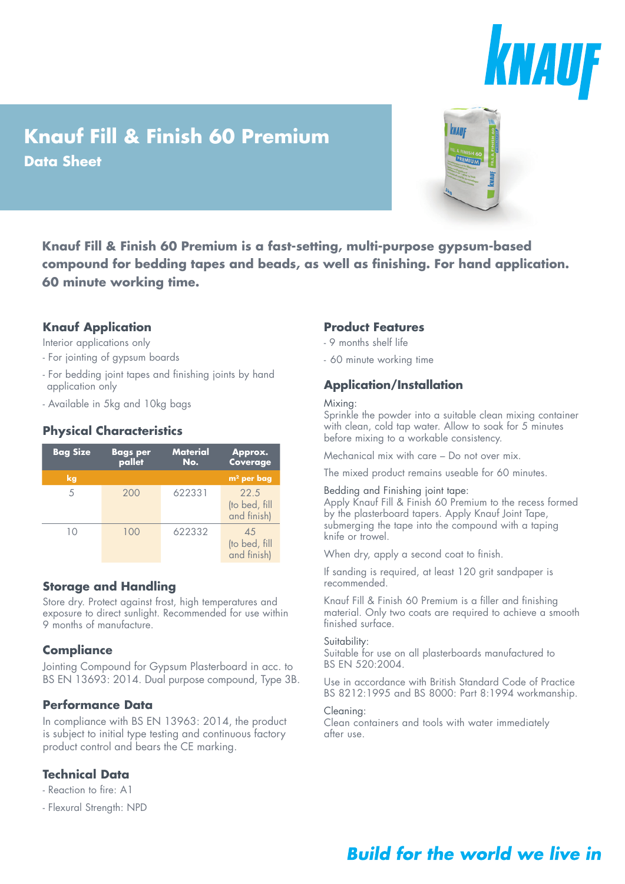

# **Knauf Fill & Finish 60 Premium Data Sheet**



**Knauf Fill & Finish 60 Premium is a fast-setting, multi-purpose gypsum-based compound for bedding tapes and beads, as well as finishing. For hand application. 60 minute working time.**

## **Knauf Application**

Interior applications only

- For jointing of gypsum boards
- For bedding joint tapes and finishing joints by hand application only
- Available in 5kg and 10kg bags

## **Physical Characteristics**

| <b>Bag Size</b> | <b>Bags per</b><br>pallet | <b>Material</b><br>No. | Approx.<br>Coverage                  |
|-----------------|---------------------------|------------------------|--------------------------------------|
| kg              |                           |                        | $m2$ per bag                         |
| 5               | 200                       | 622331                 | 22.5<br>(to bed, fill<br>and finish) |
| 10              | 100                       | 622332                 | 45<br>(to bed, fill<br>and finish)   |

## **Storage and Handling**

Store dry. Protect against frost, high temperatures and exposure to direct sunlight. Recommended for use within 9 months of manufacture.

## **Compliance**

Jointing Compound for Gypsum Plasterboard in acc. to BS EN 13693: 2014. Dual purpose compound, Type 3B.

## **Performance Data**

In compliance with BS EN 13963: 2014, the product is subject to initial type testing and continuous factory product control and bears the CE marking.

## **Technical Data**

- Reaction to fire: A1
- Flexural Strength: NPD

## **Product Features**

- 9 months shelf life
- 60 minute working time

# **Application/Installation**

#### Mixing:

Sprinkle the powder into a suitable clean mixing container with clean, cold tap water. Allow to soak for 5 minutes before mixing to a workable consistency.

Mechanical mix with care – Do not over mix.

The mixed product remains useable for 60 minutes.

#### Bedding and Finishing joint tape:

Apply Knauf Fill & Finish 60 Premium to the recess formed by the plasterboard tapers. Apply Knauf Joint Tape, submerging the tape into the compound with a taping knife or trowel.

When dry, apply a second coat to finish.

If sanding is required, at least 120 grit sandpaper is recommended.

Knauf Fill & Finish 60 Premium is a filler and finishing material. Only two coats are required to achieve a smooth finished surface.

### Suitability:

Suitable for use on all plasterboards manufactured to BS EN 520:2004.

Use in accordance with British Standard Code of Practice BS 8212:1995 and BS 8000: Part 8:1994 workmanship.

#### Cleaning:

Clean containers and tools with water immediately after use.

# **Build for the world we live in**